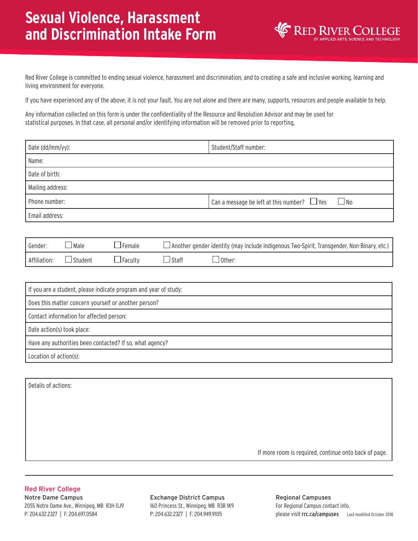## **Sexual Violence, Harassment and Discrimination Intake Form**



Red River College is committed to ending sexual violence, harassment and discrimination, and to creating a safe and inclusive working, learning and living environment for everyone.

If you have experienced any of the above, it is not your fault. You are not alone and there are many, supports, resources and people available to help.

Any information collected on this form is under the confidentiality of the Resource and Resolution Advisor and may be used for statistical purposes. In that case, all personal and/or identifying information will be removed prior to reporting.

| Date (dd/mm/yy): | Student/Staff number:                                      |
|------------------|------------------------------------------------------------|
| Name:            |                                                            |
| Date of birth:   |                                                            |
| Mailing address: |                                                            |
| Phone number:    | Can a message be left at this number? $\Box$ Yes $\Box$ No |
| Email address:   |                                                            |

| Gender:      | ⊿Male          | $\sqcup$ Female $\sqcup$ |                | Another gender identity (may include Indigenous Two-Spirit, Transgender, Non-Binary, etc.) |
|--------------|----------------|--------------------------|----------------|--------------------------------------------------------------------------------------------|
| Affiliation: | $\Box$ Student | $\Box$ Faculty           | $\sqcup$ Staff | :J Other                                                                                   |

| If you are a student, please indicate program and year of study: |  |  |
|------------------------------------------------------------------|--|--|
| Does this matter concern yourself or another person?             |  |  |
| Contact information for affected person:                         |  |  |
| Date action(s) took place:                                       |  |  |
| Have any authorities been contacted? If so, what agency?         |  |  |
| Location of action(s):                                           |  |  |

Details of actions:

If more room is required, continue onto back of page.

## Red River College

Notre Dame Campus 2055 Notre Dame Ave., Winnipeg, MB R3H 0J9 P: 204.632.2327 | F: 204.697.0584

Exchange District Campus 160 Princess St., Winnipeg, MB R3B 1K9 P: 204.632.2327 | F: 204.949.9105

please visit rrc.ca/campuses Last modified October 2018 Regional Campuses For Regional Campus contact info,